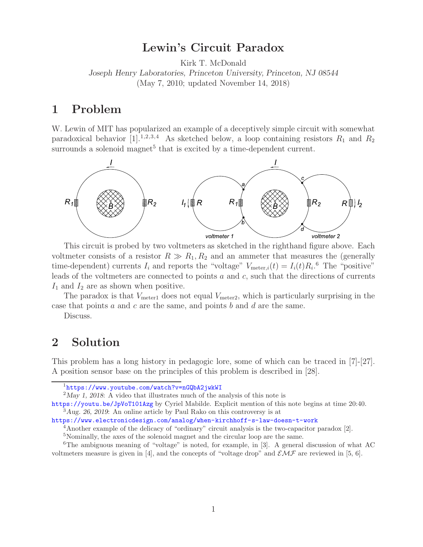# **Lewin's Circuit Paradox**

Kirk T. McDonald

*Joseph Henry Laboratories, Princeton University, Princeton, NJ 08544* (May 7, 2010; updated November 14, 2018)

## **1 Problem**

W. Lewin of MIT has popularized an example of a deceptively simple circuit with somewhat paradoxical behavior  $[1]$ .<sup>1,2,3,4</sup> As sketched below, a loop containing resistors  $R_1$  and  $R_2$ surrounds a solenoid magnet<sup>5</sup> that is excited by a time-dependent current.



This circuit is probed by two voltmeters as sketched in the righthand figure above. Each voltmeter consists of a resistor  $R \gg R_1, R_2$  and an ammeter that measures the (generally time-dependent) currents  $I_i$  and reports the "voltage"  $V_{\text{meter},i}(t) = I_i(t)R_i$ .<sup>6</sup> The "positive" leads of the voltmeters are connected to points a and c, such that the directions of currents  $I_1$  and  $I_2$  are as shown when positive.

The paradox is that  $V_{\text{meter1}}$  does not equal  $V_{\text{meter2}}$ , which is particularly surprising in the case that points a and c are the same, and points b and d are the same.

Discuss.

## **2 Solution**

This problem has a long history in pedagogic lore, some of which can be traced in [7]-[27]. A position sensor base on the principles of this problem is described in [28].

<sup>1</sup>https://www.youtube.com/watch?v=nGQbA2jwkWI

<sup>2</sup>*May 1, 2018*: A video that illustrates much of the analysis of this note is

https://youtu.be/JpVoT101Azg by Cyriel Mabilde. Explicit mention of this note begins at time 20:40. <sup>3</sup>*Aug. 26, 2019*: An online article by Paul Rako on this controversy is at

https://www.electronicdesign.com/analog/when-kirchhoff-s-law-doesn-t-work

<sup>4</sup>Another example of the delicacy of "ordinary" circuit analysis is the two-capacitor paradox [2].

<sup>5</sup>Nominally, the axes of the solenoid magnet and the circular loop are the same.

<sup>&</sup>lt;sup>6</sup>The ambiguous meaning of "voltage" is noted, for example, in  $[3]$ . A general discussion of what AC voltmeters measure is given in [4], and the concepts of "voltage drop" and  $\mathcal{EMF}$  are reviewed in [5, 6].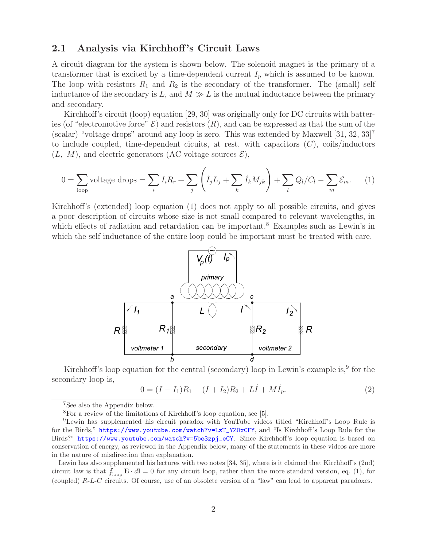### **2.1 Analysis via Kirchhoff 's Circuit Laws**

A circuit diagram for the system is shown below. The solenoid magnet is the primary of a transformer that is excited by a time-dependent current  $I_p$  which is assumed to be known. The loop with resistors  $R_1$  and  $R_2$  is the secondary of the transformer. The (small) self inductance of the secondary is L, and  $M \gg L$  is the mutual inductance between the primary and secondary.

Kirchhoff's circuit (loop) equation [29, 30] was originally only for DC circuits with batteries (of "electromotive force"  $\mathcal{E}$ ) and resistors  $(R)$ , and can be expressed as that the sum of the (scalar) "voltage drops" around any loop is zero. This was extended by Maxwell  $[31, 32, 33]$ <sup>7</sup> to include coupled, time-dependent cicuits, at rest, with capacitors  $(C)$ , coils/inductors  $(L, M)$ , and electric generators  $(AC$  voltage sources  $\mathcal{E})$ ,

$$
0 = \sum_{\text{loop}} \text{voltage drops} = \sum_{i} I_i R_r + \sum_{j} \left( \dot{I}_j L_j + \sum_{k} \dot{I}_k M_{jk} \right) + \sum_{l} Q_l / C_l - \sum_{m} \mathcal{E}_m. \tag{1}
$$

Kirchhoff's (extended) loop equation (1) does not apply to all possible circuits, and gives a poor description of circuits whose size is not small compared to relevant wavelengths, in which effects of radiation and retardation can be important.<sup>8</sup> Examples such as Lewin's in which the self inductance of the entire loop could be important must be treated with care.



Kirchhoff's loop equation for the central (secondary) loop in Lewin's example is,  $9^{\circ}$  for the secondary loop is,

$$
0 = (I - I_1)R_1 + (I + I_2)R_2 + L\dot{I} + M\dot{I}_p.
$$
\n(2)

<sup>7</sup>See also the Appendix below.

<sup>8</sup>For a review of the limitations of Kirchhoff's loop equation, see [5].

<sup>9</sup>Lewin has supplemented his circuit paradox with YouTube videos titled "Kirchhoff's Loop Rule is for the Birds," https://www.youtube.com/watch?v=LzT\_YZ0xCFY, and "Is Kirchhoff's Loop Rule for the Birds?" https://www.youtube.com/watch?v=5be3zpj\_eCY. Since Kirchhoff's loop equation is based on conservation of energy, as reviewed in the Appendix below, many of the statements in these videos are more in the nature of misdirection than explanation.

Lewin has also supplemented his lectures with two notes [34, 35], where is it claimed that Kirchhoff's (2nd) circuit law is that  $\oint_{\text{loop}} \mathbf{E} \cdot d\mathbf{l} = 0$  for any circuit loop, rather than the more standard version, eq. (1), for (coupled) R-L-C circuits. Of course, use of an obsolete version of a "law" can lead to apparent paradoxes.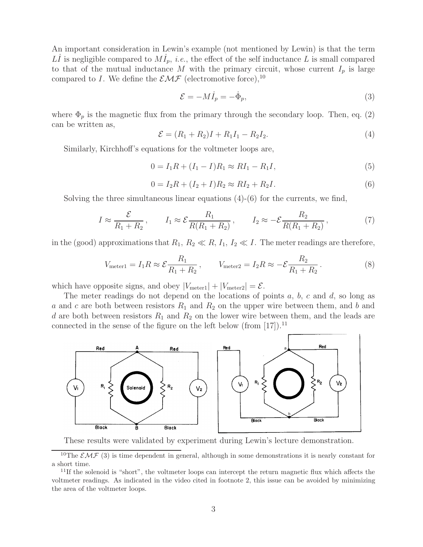An important consideration in Lewin's example (not mentioned by Lewin) is that the term LI is negligible compared to  $M_{p}^{i}$ , *i.e.*, the effect of the self inductance L is small compared to that of the mutual inductance M with the primary circuit, whose current  $I_p$  is large compared to I. We define the  $\mathcal{EMF}$  (electromotive force), <sup>10</sup>

$$
\mathcal{E} = -M\dot{I}_p = -\dot{\Phi}_p,\tag{3}
$$

where  $\Phi_p$  is the magnetic flux from the primary through the secondary loop. Then, eq. (2) can be written as,

$$
\mathcal{E} = (R_1 + R_2)I + R_1I_1 - R_2I_2. \tag{4}
$$

Similarly, Kirchhoff's equations for the voltmeter loops are,

$$
0 = I_1 R + (I_1 - I)R_1 \approx R I_1 - R_1 I,\tag{5}
$$

$$
0 = I_2 R + (I_2 + I) R_2 \approx R I_2 + R_2 I.
$$
\n(6)

Solving the three simultaneous linear equations  $(4)-(6)$  for the currents, we find,

$$
I \approx \frac{\mathcal{E}}{R_1 + R_2}, \qquad I_1 \approx \mathcal{E} \frac{R_1}{R(R_1 + R_2)}, \qquad I_2 \approx -\mathcal{E} \frac{R_2}{R(R_1 + R_2)}, \tag{7}
$$

in the (good) approximations that  $R_1, R_2 \ll R$ ,  $I_1, I_2 \ll I$ . The meter readings are therefore,

$$
V_{\text{meter1}} = I_1 R \approx \mathcal{E} \frac{R_1}{R_1 + R_2}, \qquad V_{\text{meter2}} = I_2 R \approx -\mathcal{E} \frac{R_2}{R_1 + R_2}.
$$
 (8)

which have opposite signs, and obey  $|V_{\text{meter1}}| + |V_{\text{meter2}}| = \mathcal{E}$ .

The meter readings do not depend on the locations of points  $a, b, c$  and  $d$ , so long as a and c are both between resistors  $R_1$  and  $R_2$  on the upper wire between them, and b and d are both between resistors  $R_1$  and  $R_2$  on the lower wire between them, and the leads are connected in the sense of the figure on the left below (from  $[17]$ ).<sup>11</sup>



These results were validated by experiment during Lewin's lecture demonstration.

<sup>&</sup>lt;sup>10</sup>The  $\mathcal{EMF}(3)$  is time dependent in general, although in some demonstrations it is nearly constant for a short time.

 $11$ If the solenoid is "short", the voltmeter loops can intercept the return magnetic flux which affects the voltmeter readings. As indicated in the video cited in footnote 2, this issue can be avoided by minimizing the area of the voltmeter loops.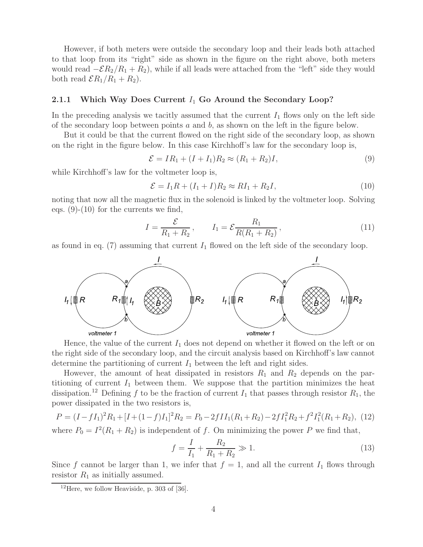However, if both meters were outside the secondary loop and their leads both attached to that loop from its "right" side as shown in the figure on the right above, both meters would read  $-\mathcal{E}R_2/R_1 + R_2$ , while if all leads were attached from the "left" side they would both read  $\mathcal{E}R_1/R_1 + R_2$ .

#### **2.1.1 Which Way Does Current**  $I_1$  Go Around the Secondary Loop?

In the preceding analysis we tacitly assumed that the current  $I_1$  flows only on the left side of the secondary loop between points  $a$  and  $b$ , as shown on the left in the figure below.

But it could be that the current flowed on the right side of the secondary loop, as shown on the right in the figure below. In this case Kirchhoff's law for the secondary loop is,

$$
\mathcal{E} = IR_1 + (I + I_1)R_2 \approx (R_1 + R_2)I, \tag{9}
$$

while Kirchhoff's law for the voltmeter loop is,

$$
\mathcal{E} = I_1 R + (I_1 + I) R_2 \approx R I_1 + R_2 I,\tag{10}
$$

noting that now all the magnetic flux in the solenoid is linked by the voltmeter loop. Solving eqs.  $(9)-(10)$  for the currents we find,

$$
I = \frac{\mathcal{E}}{R_1 + R_2}, \qquad I_1 = \mathcal{E} \frac{R_1}{R(R_1 + R_2)}, \tag{11}
$$

as found in eq. (7) assuming that current  $I_1$  flowed on the left side of the secondary loop.



Hence, the value of the current  $I_1$  does not depend on whether it flowed on the left or on the right side of the secondary loop, and the circuit analysis based on Kirchhoff's law cannot determine the partitioning of current  $I_1$  between the left and right sides.

However, the amount of heat dissipated in resistors  $R_1$  and  $R_2$  depends on the partitioning of current  $I_1$  between them. We suppose that the partition minimizes the heat dissipation.<sup>12</sup> Defining f to be the fraction of current  $I_1$  that passes through resistor  $R_1$ , the power dissipated in the two resistors is,

$$
P = (I - fI_1)^2 R_1 + [I + (1 - f)I_1]^2 R_2 = P_0 - 2fII_1 (R_1 + R_2) - 2fI_1^2 R_2 + f^2 I_1^2 (R_1 + R_2), \tag{12}
$$

where  $P_0 = I^2(R_1 + R_2)$  is independent of f. On minimizing the power P we find that,

$$
f = \frac{I}{I_1} + \frac{R_2}{R_1 + R_2} \gg 1.
$$
\n(13)

Since f cannot be larger than 1, we infer that  $f = 1$ , and all the current  $I_1$  flows through resistor  $R_1$  as initially assumed.

<sup>&</sup>lt;sup>12</sup>Here, we follow Heaviside, p. 303 of [36].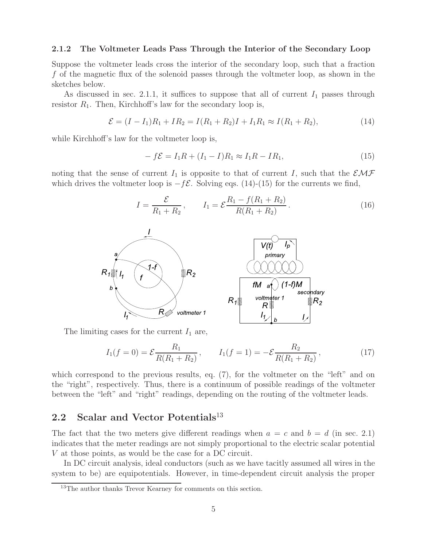#### **2.1.2 The Voltmeter Leads Pass Through the Interior of the Secondary Loop**

Suppose the voltmeter leads cross the interior of the secondary loop, such that a fraction f of the magnetic flux of the solenoid passes through the voltmeter loop, as shown in the sketches below.

As discussed in sec. 2.1.1, it suffices to suppose that all of current  $I_1$  passes through resistor  $R_1$ . Then, Kirchhoff's law for the secondary loop is,

$$
\mathcal{E} = (I - I_1)R_1 + IR_2 = I(R_1 + R_2)I + I_1R_1 \approx I(R_1 + R_2),\tag{14}
$$

while Kirchhoff's law for the voltmeter loop is,

$$
- f\mathcal{E} = I_1 R + (I_1 - I)R_1 \approx I_1 R - I R_1,
$$
\n(15)

noting that the sense of current  $I_1$  is opposite to that of current I, such that the  $\mathcal{EMF}$ which drives the voltmeter loop is  $-f\mathcal{E}$ . Solving eqs. (14)-(15) for the currents we find,

$$
I = \frac{\mathcal{E}}{R_1 + R_2}, \qquad I_1 = \mathcal{E} \frac{R_1 - f(R_1 + R_2)}{R(R_1 + R_2)}.
$$
 (16)

 $(1-f)M$ 

secondary

 $\mathbb{R}\mathsf{R}_2$ 



The limiting cases for the current  $I_1$  are,

$$
I_1(f=0) = \mathcal{E} \frac{R_1}{R(R_1 + R_2)}, \qquad I_1(f=1) = -\mathcal{E} \frac{R_2}{R(R_1 + R_2)}, \qquad (17)
$$

which correspond to the previous results, eq. (7), for the voltmeter on the "left" and on the "right", respectively. Thus, there is a continuum of possible readings of the voltmeter between the "left" and "right" readings, depending on the routing of the voltmeter leads.

## **2.2 Scalar and Vector Potentials**<sup>13</sup>

The fact that the two meters give different readings when  $a = c$  and  $b = d$  (in sec. 2.1) indicates that the meter readings are not simply proportional to the electric scalar potential V at those points, as would be the case for a DC circuit.

In DC circuit analysis, ideal conductors (such as we have tacitly assumed all wires in the system to be) are equipotentials. However, in time-dependent circuit analysis the proper

<sup>&</sup>lt;sup>13</sup>The author thanks Trevor Kearney for comments on this section.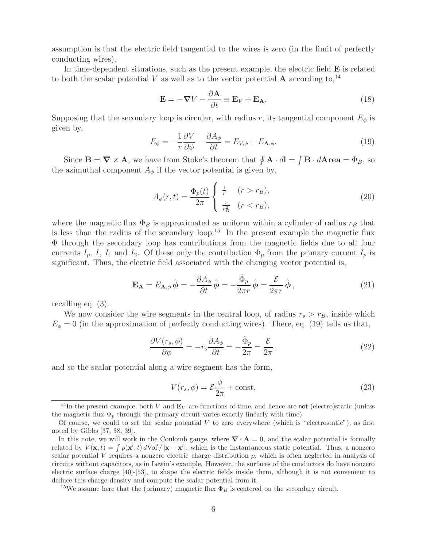assumption is that the electric field tangential to the wires is zero (in the limit of perfectly conducting wires).

In time-dependent situations, such as the present example, the electric field **E** is related to both the scalar potential V as well as to the vector potential **A** according to,<sup>14</sup>

$$
\mathbf{E} = -\nabla V - \frac{\partial \mathbf{A}}{\partial t} \equiv \mathbf{E}_V + \mathbf{E}_{\mathbf{A}}.
$$
 (18)

Supposing that the secondary loop is circular, with radius r, its tangential component  $E_{\phi}$  is given by,

$$
E_{\phi} = -\frac{1}{r} \frac{\partial V}{\partial \phi} - \frac{\partial A_{\phi}}{\partial t} = E_{V,\phi} + E_{\mathbf{A},\phi}.
$$
 (19)

Since  $\mathbf{B} = \nabla \times \mathbf{A}$ , we have from Stoke's theorem that  $\oint \mathbf{A} \cdot d\mathbf{l} = \int \mathbf{B} \cdot d\mathbf{A} \mathbf{r} e \mathbf{a} = \Phi_B$ , so the azimuthal component  $A_{\phi}$  if the vector potential is given by,

$$
A_{\phi}(r,t) = \frac{\Phi_p(t)}{2\pi} \begin{cases} \frac{1}{r} & (r > r_B), \\ \frac{r}{r_B^2} & (r < r_B), \end{cases}
$$
 (20)

where the magnetic flux  $\Phi_B$  is approximated as uniform within a cylinder of radius  $r_B$  that is less than the radius of the secondary loop.<sup>15</sup> In the present example the magnetic flux Φ through the secondary loop has contributions from the magnetic fields due to all four currents  $I_p$ , I,  $I_1$  and  $I_2$ . Of these only the contribution  $\Phi_p$  from the primary current  $I_p$  is significant. Thus, the electric field associated with the changing vector potential is,

$$
\mathbf{E}_{\mathbf{A}} = E_{\mathbf{A},\phi} \,\hat{\boldsymbol{\phi}} = -\frac{\partial A_{\phi}}{\partial t} \,\hat{\boldsymbol{\phi}} = -\frac{\dot{\Phi}_{p}}{2\pi r} \,\hat{\boldsymbol{\phi}} = \frac{\mathcal{E}}{2\pi r} \,\hat{\boldsymbol{\phi}}\,,\tag{21}
$$

recalling eq. (3).

We now consider the wire segments in the central loop, of radius  $r_s > r_B$ , inside which  $E_{\phi} = 0$  (in the approximation of perfectly conducting wires). There, eq. (19) tells us that,

$$
\frac{\partial V(r_s, \phi)}{\partial \phi} = -r_s \frac{\partial A_{\phi}}{\partial t} = -\frac{\dot{\Phi}_p}{2\pi} = \frac{\mathcal{E}}{2\pi},\qquad(22)
$$

and so the scalar potential along a wire segment has the form,

$$
V(r_s, \phi) = \mathcal{E} \frac{\phi}{2\pi} + \text{const},\tag{23}
$$

<sup>&</sup>lt;sup>14</sup>In the present example, both V and  $\mathbf{E}_V$  are functions of time, and hence are not (electro)static (unless the magnetic flux  $\Phi_p$  through the primary circuit varies exactly linearly with time).

Of course, we could to set the scalar potential  $V$  to zero everywhere (which is "electrostatic"), as first noted by Gibbs [37, 38, 39].

In this note, we will work in the Coulomb gauge, where  $\nabla \cdot \mathbf{A} = 0$ , and the scalar potential is formally related by  $V(\mathbf{x},t) = \int \rho(\mathbf{x}',t) dVol'/|\mathbf{x}-\mathbf{x}'|$ , which is the instantaneous static potential. Thus, a nonzero scalar potential V requires a nonzero electric charge distribution  $\rho$ , which is often neglected in analysis of circuits without capacitors, as in Lewin's example. However, the surfaces of the conductors do have nonzero electric surface charge [40]-[53], to shape the electric fields inside them, although it is not convenient to deduce this charge density and compute the scalar potential from it.

<sup>&</sup>lt;sup>15</sup>We assume here that the (primary) magnetic flux  $\Phi_B$  is centered on the secondary circuit.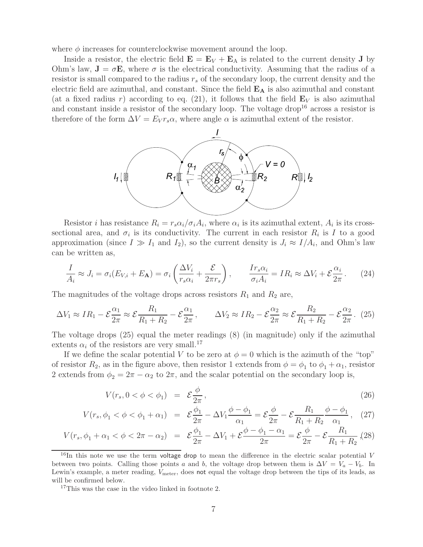where  $\phi$  increases for counterclockwise movement around the loop.

Inside a resistor, the electric field  $\mathbf{E} = \mathbf{E}_V + \mathbf{E}_A$  is related to the current density **J** by Ohm's law,  $\mathbf{J} = \sigma \mathbf{E}$ , where  $\sigma$  is the electrical conductivity. Assuming that the radius of a resistor is small compared to the radius  $r_s$  of the secondary loop, the current density and the electric field are azimuthal, and constant. Since the field **E<sup>A</sup>** is also azimuthal and constant (at a fixed radius r) according to eq. (21), it follows that the field  $\mathbf{E}_V$  is also azimuthal and constant inside a resistor of the secondary loop. The voltage drop<sup>16</sup> across a resistor is therefore of the form  $\Delta V = E_V r_s \alpha$ , where angle  $\alpha$  is azimuthal extent of the resistor.



Resistor *i* has resistance  $R_i = r_s \alpha_i / \sigma_i A_i$ , where  $\alpha_i$  is its azimuthal extent,  $A_i$  is its crosssectional area, and  $\sigma_i$  is its conductivity. The current in each resistor  $R_i$  is I to a good approximation (since  $I \gg I_1$  and  $I_2$ ), so the current density is  $J_i \approx I/A_i$ , and Ohm's law can be written as,

$$
\frac{I}{A_i} \approx J_i = \sigma_i (E_{V,i} + E_{\mathbf{A}}) = \sigma_i \left( \frac{\Delta V_i}{r_s \alpha_i} + \frac{\mathcal{E}}{2\pi r_s} \right), \qquad \frac{Ir_s \alpha_i}{\sigma_i A_i} = IR_i \approx \Delta V_i + \mathcal{E} \frac{\alpha_i}{2\pi}.
$$
 (24)

The magnitudes of the voltage drops across resistors  $R_1$  and  $R_2$  are,

$$
\Delta V_1 \approx IR_1 - \mathcal{E}\frac{\alpha_1}{2\pi} \approx \mathcal{E}\frac{R_1}{R_1 + R_2} - \mathcal{E}\frac{\alpha_1}{2\pi}, \qquad \Delta V_2 \approx IR_2 - \mathcal{E}\frac{\alpha_2}{2\pi} \approx \mathcal{E}\frac{R_2}{R_1 + R_2} - \mathcal{E}\frac{\alpha_2}{2\pi}.
$$
 (25)

The voltage drops (25) equal the meter readings (8) (in magnitude) only if the azimuthal extents  $\alpha_i$  of the resistors are very small.<sup>17</sup>

If we define the scalar potential V to be zero at  $\phi = 0$  which is the azimuth of the "top" of resistor  $R_2$ , as in the figure above, then resistor 1 extends from  $\phi = \phi_1$  to  $\phi_1 + \alpha_1$ , resistor 2 extends from  $\phi_2 = 2\pi - \alpha_2$  to  $2\pi$ , and the scalar potential on the secondary loop is,

$$
V(r_s, 0 < \phi < \phi_1) = \mathcal{E} \frac{\phi}{2\pi}, \qquad (26)
$$

$$
V(r_s, \phi_1 < \phi < \phi_1 + \alpha_1) = \mathcal{E} \frac{\phi_1}{2\pi} - \Delta V_1 \frac{\phi - \phi_1}{\alpha_1} = \mathcal{E} \frac{\phi}{2\pi} - \mathcal{E} \frac{R_1}{R_1 + R_2} \frac{\phi - \phi_1}{\alpha_1}, \quad (27)
$$

$$
V(r_s, \phi_1 + \alpha_1 < \phi < 2\pi - \alpha_2) = \mathcal{E}\frac{\phi_1}{2\pi} - \Delta V_1 + \mathcal{E}\frac{\phi - \phi_1 - \alpha_1}{2\pi} = \mathcal{E}\frac{\phi}{2\pi} - \mathcal{E}\frac{R_1}{R_1 + R_2} \tag{28}
$$

 $16$ In this note we use the term voltage drop to mean the difference in the electric scalar potential V between two points. Calling those points a and b, the voltage drop between them is  $\Delta V = V_a - V_b$ . In Lewin's example, a meter reading,  $V_{\text{meter}}$ , does not equal the voltage drop between the tips of its leads, as will be confirmed below.

<sup>&</sup>lt;sup>17</sup>This was the case in the video linked in footnote 2.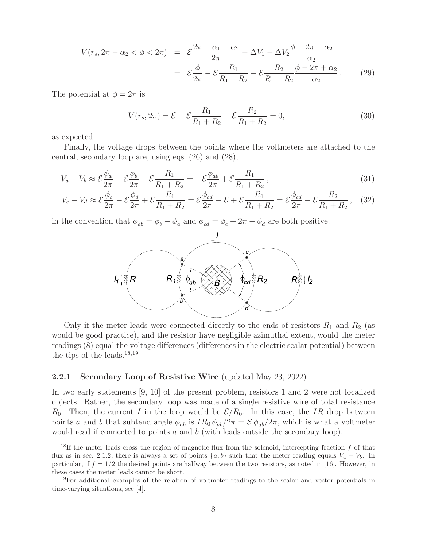$$
V(r_s, 2\pi - \alpha_2 < \phi < 2\pi) = \mathcal{E} \frac{2\pi - \alpha_1 - \alpha_2}{2\pi} - \Delta V_1 - \Delta V_2 \frac{\phi - 2\pi + \alpha_2}{\alpha_2}
$$
  
= 
$$
\mathcal{E} \frac{\phi}{2\pi} - \mathcal{E} \frac{R_1}{R_1 + R_2} - \mathcal{E} \frac{R_2}{R_1 + R_2} \frac{\phi - 2\pi + \alpha_2}{\alpha_2}.
$$
 (29)

The potential at  $\phi = 2\pi$  is

$$
V(r_s, 2\pi) = \mathcal{E} - \mathcal{E} \frac{R_1}{R_1 + R_2} - \mathcal{E} \frac{R_2}{R_1 + R_2} = 0,
$$
\n(30)

as expected.

Finally, the voltage drops between the points where the voltmeters are attached to the central, secondary loop are, using eqs. (26) and (28),

$$
V_a - V_b \approx \mathcal{E} \frac{\phi_a}{2\pi} - \mathcal{E} \frac{\phi_b}{2\pi} + \mathcal{E} \frac{R_1}{R_1 + R_2} = -\mathcal{E} \frac{\phi_{ab}}{2\pi} + \mathcal{E} \frac{R_1}{R_1 + R_2},\tag{31}
$$

$$
V_c - V_d \approx \mathcal{E} \frac{\phi_c}{2\pi} - \mathcal{E} \frac{\phi_d}{2\pi} + \mathcal{E} \frac{R_1}{R_1 + R_2} = \mathcal{E} \frac{\phi_{cd}}{2\pi} - \mathcal{E} + \mathcal{E} \frac{R_1}{R_1 + R_2} = \mathcal{E} \frac{\phi_{cd}}{2\pi} - \mathcal{E} \frac{R_2}{R_1 + R_2},
$$
 (32)

in the convention that  $\phi_{ab} = \phi_b - \phi_a$  and  $\phi_{cd} = \phi_c + 2\pi - \phi_d$  are both positive.



Only if the meter leads were connected directly to the ends of resistors  $R_1$  and  $R_2$  (as would be good practice), and the resistor have negligible azimuthal extent, would the meter readings (8) equal the voltage differences (differences in the electric scalar potential) between the tips of the leads. $18,19$ 

#### **2.2.1 Secondary Loop of Resistive Wire** (updated May 23, 2022)

In two early statements [9, 10] of the present problem, resistors 1 and 2 were not localized objects. Rather, the secondary loop was made of a single resistive wire of total resistance  $R_0$ . Then, the current I in the loop would be  $\mathcal{E}/R_0$ . In this case, the IR drop between points a and b that subtend angle  $\phi_{ab}$  is  $IR_0 \phi_{ab}/2\pi = \mathcal{E} \phi_{ab}/2\pi$ , which is what a voltmeter would read if connected to points  $a$  and  $b$  (with leads outside the secondary loop).

<sup>&</sup>lt;sup>18</sup>If the meter leads cross the region of magnetic flux from the solenoid, intercepting fraction  $f$  of that flux as in sec. 2.1.2, there is always a set of points  $\{a, b\}$  such that the meter reading equals  $V_a - V_b$ . In particular, if  $f = 1/2$  the desired points are halfway between the two resistors, as noted in [16]. However, in these cases the meter leads cannot be short.

<sup>&</sup>lt;sup>19</sup>For additional examples of the relation of voltmeter readings to the scalar and vector potentials in time-varying situations, see [4].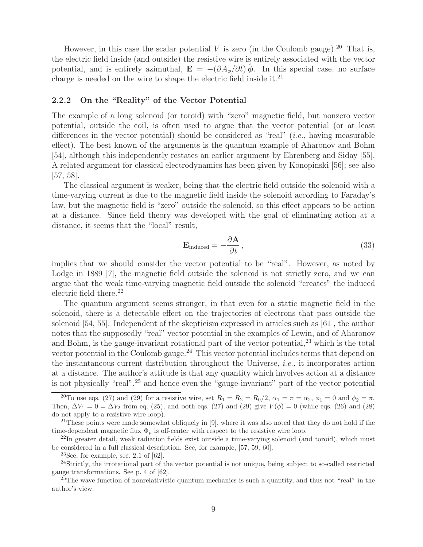However, in this case the scalar potential V is zero (in the Coulomb gauge).<sup>20</sup> That is, the electric field inside (and outside) the resistive wire is entirely associated with the vector potential, and is entirely azimuthal,  $\mathbf{E} = -(\partial A_{\phi}/\partial t)\hat{\phi}$ . In this special case, no surface charge is needed on the wire to shape the electric field inside it. $^{21}$ 

#### **2.2.2 On the "Reality" of the Vector Potential**

The example of a long solenoid (or toroid) with "zero" magnetic field, but nonzero vector potential, outside the coil, is often used to argue that the vector potential (or at least differences in the vector potential) should be considered as "real" (*i.e.*, having measurable effect). The best known of the arguments is the quantum example of Aharonov and Bohm [54], although this independently restates an earlier argument by Ehrenberg and Siday [55]. A related argument for classical electrodynamics has been given by Konopinski [56]; see also  $[57, 58]$ .

The classical argument is weaker, being that the electric field outside the solenoid with a time-varying current is due to the magnetic field inside the solenoid according to Faraday's law, but the magnetic field is "zero" outside the solenoid, so this effect appears to be action at a distance. Since field theory was developed with the goal of eliminating action at a distance, it seems that the "local" result,

$$
\mathbf{E}_{\text{induced}} = -\frac{\partial \mathbf{A}}{\partial t},\tag{33}
$$

implies that we should consider the vector potential to be "real". However, as noted by Lodge in 1889 [7], the magnetic field outside the solenoid is not strictly zero, and we can argue that the weak time-varying magnetic field outside the solenoid "creates" the induced electric field there. $^{22}$ 

The quantum argument seems stronger, in that even for a static magnetic field in the solenoid, there is a detectable effect on the trajectories of electrons that pass outside the solenoid [54, 55]. Independent of the skepticism expressed in articles such as [61], the author notes that the supposedly "real" vector potential in the examples of Lewin, and of Aharonov and Bohm, is the gauge-invariant rotational part of the vector potential,  $23$  which is the total vector potential in the Coulomb gauge.<sup>24</sup> This vector potential includes terms that depend on the instantaneous current distribution throughout the Universe, *i.e.*, it incorporates action at a distance. The author's attitude is that any quantity which involves action at a distance is not physically "real",<sup>25</sup> and hence even the "gauge-invariant" part of the vector potential

<sup>&</sup>lt;sup>20</sup>To use eqs. (27) and (29) for a resistive wire, set  $R_1 = R_2 = R_0/2$ ,  $\alpha_1 = \pi = \alpha_2$ ,  $\phi_1 = 0$  and  $\phi_2 = \pi$ . Then,  $\Delta V_1 = 0 = \Delta V_2$  from eq. (25), and both eqs. (27) and (29) give  $V(\phi) = 0$  (while eqs. (26) and (28) do not apply to a resistive wire loop).

 $21$ These points were made somewhat obliquely in [9], where it was also noted that they do not hold if the time-dependent magnetic flux  $\Phi_p$  is off-center with respect to the resistive wire loop.

 $^{22}$ In greater detail, weak radiation fields exist outside a time-varying solenoid (and toroid), which must be considered in a full classical description. See, for example, [57, 59, 60].

 $23$ See, for example, sec. 2.1 of  $[62]$ .

<sup>24</sup>Strictly, the irrotational part of the vector potential is not unique, being subject to so-called restricted gauge transformations. See p. 4 of [62].

<sup>&</sup>lt;sup>25</sup>The wave function of nonrelativistic quantum mechanics is such a quantity, and thus not "real" in the author's view.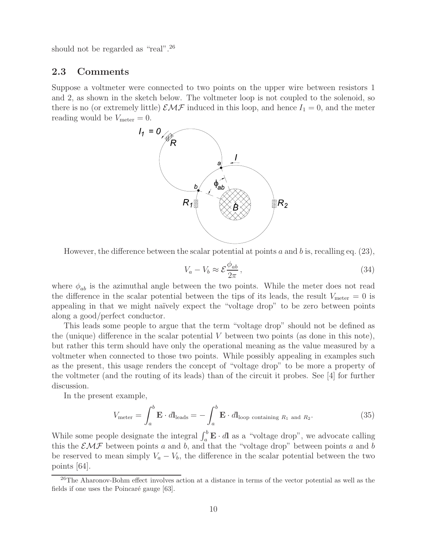should not be regarded as "real".<sup>26</sup>

### **2.3 Comments**

Suppose a voltmeter were connected to two points on the upper wire between resistors 1 and 2, as shown in the sketch below. The voltmeter loop is not coupled to the solenoid, so there is no (or extremely little)  $\mathcal{EMF}$  induced in this loop, and hence  $I_1 = 0$ , and the meter reading would be  $V_{\text{meter}} = 0$ .



However, the difference between the scalar potential at points a and b is, recalling eq.  $(23)$ ,

$$
V_a - V_b \approx \mathcal{E} \frac{\phi_{ab}}{2\pi},\qquad(34)
$$

where  $\phi_{ab}$  is the azimuthal angle between the two points. While the meter does not read the difference in the scalar potential between the tips of its leads, the result  $V_{\text{meter}} = 0$  is appealing in that we might na¨ıvely expect the "voltage drop" to be zero between points along a good/perfect conductor.

This leads some people to argue that the term "voltage drop" should not be defined as the (unique) difference in the scalar potential  $V$  between two points (as done in this note), but rather this term should have only the operational meaning as the value measured by a voltmeter when connected to those two points. While possibly appealing in examples such as the present, this usage renders the concept of "voltage drop" to be more a property of the voltmeter (and the routing of its leads) than of the circuit it probes. See [4] for further discussion.

In the present example,

$$
V_{\text{meter}} = \int_{a}^{b} \mathbf{E} \cdot d\mathbf{l}_{\text{leads}} = -\int_{a}^{b} \mathbf{E} \cdot d\mathbf{l}_{\text{loop containing } R_{1} \text{ and } R_{2}}.
$$
 (35)

While some people designate the integral  $\int_a^b \mathbf{E} \cdot d\mathbf{l}$  as a "voltage drop", we advocate calling this the  $\mathcal{EMF}$  between points a and b, and that the "voltage drop" between points a and b be reserved to mean simply  $V_a - V_b$ , the difference in the scalar potential between the two points [64].

<sup>&</sup>lt;sup>26</sup>The Aharonov-Bohm effect involves action at a distance in terms of the vector potential as well as the fields if one uses the Poincaré gauge [63].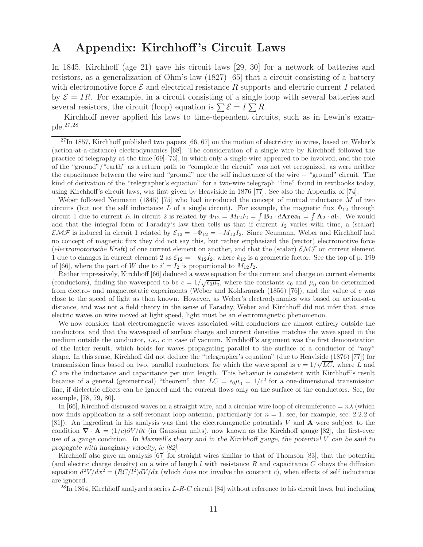# **A Appendix: Kirchhoff 's Circuit Laws**

In 1845, Kirchhoff (age 21) gave his circuit laws [29, 30] for a network of batteries and resistors, as a generalization of Ohm's law (1827) [65] that a circuit consisting of a battery with electromotive force  $\mathcal E$  and electrical resistance R supports and electric current I related by  $\mathcal{E} = IR$ . For example, in a circuit consisting of a single loop with several batteries and several resistors, the circuit (loop) equation is  $\sum \mathcal{E} = I \sum R$ .

Kirchhoff never applied his laws to time-dependent circuits, such as in Lewin's example.27,28

 $^{27}$ In 1857, Kirchhoff published two papers [66, 67] on the motion of electricity in wires, based on Weber's (action-at-a-distance) electrodynamics [68]. The consideration of a single wire by Kirchhoff followed the practice of telegraphy at the time [69]-[73], in which only a single wire appeared to be involved, and the role of the "ground"/"earth" as a return path to "complete the circuit" was not yet recognized, as were neither the capacitance between the wire and "ground" nor the self inductance of the wire + "ground" circuit. The kind of derivation of the "telegrapher's equation" for a two-wire telegraph "line" found in textbooks today, using Kirchhoff's circuit laws, was first given by Heaviside in 1876 [77]. See also the Appendix of [74].

Weber followed Neumann (1845) [75] who had introduced the concept of mutual inductance M of two circuits (but not the self inductance L of a single circuit). For example, the magnetic flux  $\Phi_{12}$  through circuit 1 due to current  $I_2$  in circuit 2 is related by  $\Phi_{12} = M_{12}I_2 = \int \mathbf{B}_2 \cdot d\mathbf{A}$ rea<sub>1</sub> =  $\oint \mathbf{A}_2 \cdot dI_1$ . We would add that the integral form of Faraday's law then tells us that if current  $I_2$  varies with time, a (scalar)  $\mathcal{EMF}$  is induced in circuit 1 related by  $\mathcal{E}_{12} = -\dot{\Phi}_{12} = -M_{12}I_2$ . Since Neumann, Weber and Kirchhoff had no concept of magnetic flux they did not say this, but rather emphasized the (vector) electromotive force (*electromotorische Kraft*) of one current element on another, and that the (scalar)  $\mathcal{EMF}$  on current element 1 due to changes in current element 2 as  $\mathcal{E}_{12} = -k_{12} \dot{I}_2$ , where  $k_{12}$  is a geometric factor. See the top of p. 199 of [66], where the part of W due to  $i' = I_2$  is proportional to  $M_{12}I_2$ .

Rather impressively, Kirchhoff [66] deduced a wave equation for the current and charge on current elements (conductors), finding the wavespeed to be  $c = 1/\sqrt{\epsilon_0 \mu_0}$ , where the constants  $\epsilon_0$  and  $\mu_0$  can be determined from electro- and magnetostatic experiments (Weber and Kohlsrausch (1856) [76]), and the value of c was close to the speed of light as then known. However, as Weber's electrodynamics was based on action-at-a distance, and was not a field theory in the sense of Faraday, Weber and Kirchhoff did not infer that, since electric waves on wire moved at light speed, light must be an electromagnetic phenomenon.

We now consider that electromagnetic waves associated with conductors are almost entirely outside the conductors, and that the wavespeed of surface charge and current densities matches the wave speed in the medium outside the conductor, *i.e.*, c in case of vacuum. Kirchhoff's argument was the first demonstration of the latter result, which holds for waves propagating parallel to the surface of a conductor of "any" shape. In this sense, Kirchhoff did not deduce the "telegrapher's equation" (due to Heaviside (1876) [77]) for transmission lines based on two, parallel conductors, for which the wave speed is  $v = 1/\sqrt{LC}$ , where L and C are the inductance and capacitance per unit length. This behavior is consistent with Kirchhoff's result because of a general (geometrical) "theorem" that  $LC = \epsilon_0 \mu_0 = 1/c^2$  for a one-dimensional transmission line, if dielectric effects can be ignored and the current flows only on the surface of the conductors. See, for example, [78, 79, 80].

In [66], Kirchhoff discussed waves on a straight wire, and a circular wire loop of circumference  $= n\lambda$  (which now finds application as a self-resonant loop antenna, particularly for  $n = 1$ ; see, for example, sec. 2.2.2 of [81]). An ingredient in his analysis was that the electromagnetic potentials V and **A** were subject to the condition  $\nabla \cdot \mathbf{A} = (1/c)\partial V/\partial t$  (in Gaussian units), now known as the Kirchhoff gauge [82], the first-ever use of a gauge condition. *In Maxwell's theory and in the Kirchhoff gauge, the potential* V *can be said to propagate with imaginary velocity,* ic *[82].*

Kirchhoff also gave an analysis [67] for straight wires similar to that of Thomson [83], that the potential (and electric charge density) on a wire of length  $l$  with resistance  $R$  and capacitance  $C$  obeys the diffusion equation  $d^2V/dx^2 = (RC/l^2)dV/dx$  (which does not involve the constant c), when effects of self inductance are ignored.

 $^{28}$ In 1864, Kirchhoff analyzed a series L-R-C circuit [84] without reference to his circuit laws, but including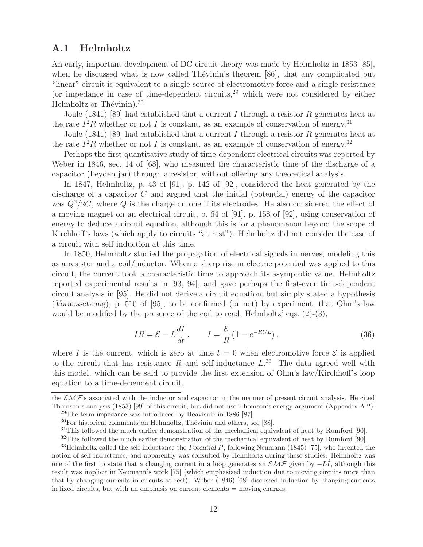## **A.1 Helmholtz**

An early, important development of DC circuit theory was made by Helmholtz in 1853 [85], when he discussed what is now called Thévinin's theorem  $[86]$ , that any complicated but "linear" circuit is equivalent to a single source of electromotive force and a single resistance (or impedance in case of time-dependent circuits,  $29$  which were not considered by either Helmholtz or Thévinin).<sup>30</sup>

Joule (1841) [89] had established that a current I through a resistor R generates heat at the rate  $I^2R$  whether or not I is constant, as an example of conservation of energy.<sup>31</sup>

Joule (1841) [89] had established that a current I through a resistor R generates heat at the rate  $I^2R$  whether or not I is constant, as an example of conservation of energy.<sup>32</sup>

Perhaps the first quantitative study of time-dependent electrical circuits was reported by Weber in 1846, sec. 14 of [68], who measured the characteristic time of the discharge of a capacitor (Leyden jar) through a resistor, without offering any theoretical analysis.

In 1847, Helmholtz, p. 43 of [91], p. 142 of [92], considered the heat generated by the discharge of a capacitor C and argued that the initial (potential) energy of the capacitor was  $Q^2/2C$ , where Q is the charge on one if its electrodes. He also considered the effect of a moving magnet on an electrical circuit, p. 64 of [91], p. 158 of [92], using conservation of energy to deduce a circuit equation, although this is for a phenomenon beyond the scope of Kirchhoff's laws (which apply to circuits "at rest"). Helmholtz did not consider the case of a circuit with self induction at this time.

In 1850, Helmholtz studied the propagation of electrical signals in nerves, modeling this as a resistor and a coil/inductor. When a sharp rise in electric potential was applied to this circuit, the current took a characteristic time to approach its asymptotic value. Helmholtz reported experimental results in [93, 94], and gave perhaps the first-ever time-dependent circuit analysis in [95]. He did not derive a circuit equation, but simply stated a hypothesis (*Voraussetzung*), p. 510 of [95], to be confirmed (or not) by experiment, that Ohm's law would be modified by the presence of the coil to read, Helmholtz' eqs.  $(2)-(3)$ ,

$$
IR = \mathcal{E} - L\frac{dI}{dt}, \qquad I = \frac{\mathcal{E}}{R} \left( 1 - e^{-Rt/L} \right), \qquad (36)
$$

where I is the current, which is zero at time  $t = 0$  when electromotive force  $\mathcal E$  is applied to the circuit that has resistance R and self-inductance  $L^{33}$  The data agreed well with this model, which can be said to provide the first extension of Ohm's law/Kirchhoff's loop equation to a time-dependent circuit.

the  $\mathcal{EMF}$ 's associated with the inductor and capacitor in the manner of present circuit analysis. He cited Thomson's analysis (1853) [99] of this circuit, but did not use Thomson's energy argument (Appendix A.2).  $29$ The term impedance was introduced by Heaviside in 1886 [87].

 $30$ For historical comments on Helmholtz, Thévinin and others, see [88].

<sup>&</sup>lt;sup>31</sup>This followed the much earlier demonstration of the mechanical equivalent of heat by Rumford [90].

<sup>&</sup>lt;sup>32</sup>This followed the much earlier demonstration of the mechanical equivalent of heat by Rumford [90].

<sup>33</sup>Helmholtz called the self inductance the *Potential* P, following Neumann (1845) [75], who invented the notion of self inductance, and apparently was consulted by Helmholtz during these studies. Helmholtz was one of the first to state that a changing current in a loop generates an  $\mathcal{EMF}$  given by  $-L\dot{I}$ , although this result was implicit in Neumann's work [75] (which emphasized induction due to moving circuits more than that by changing currents in circuits at rest). Weber (1846) [68] discussed induction by changing currents in fixed circuits, but with an emphasis on current elements = moving charges.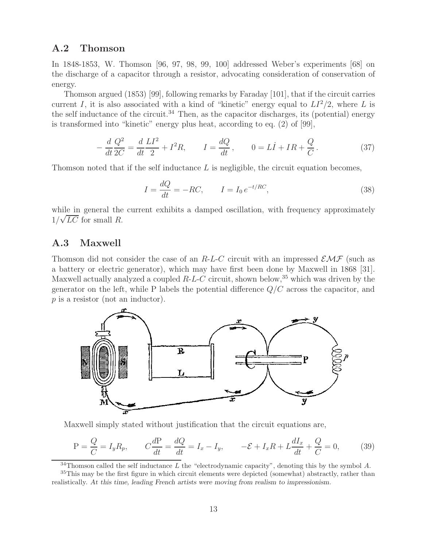### **A.2 Thomson**

In 1848-1853, W. Thomson [96, 97, 98, 99, 100] addressed Weber's experiments [68] on the discharge of a capacitor through a resistor, advocating consideration of conservation of energy.

Thomson argued (1853) [99], following remarks by Faraday [101], that if the circuit carries current I, it is also associated with a kind of "kinetic" energy equal to  $LI^2/2$ , where L is the self inductance of the circuit.<sup>34</sup> Then, as the capacitor discharges, its (potential) energy is transformed into "kinetic" energy plus heat, according to eq. (2) of [99],

$$
-\frac{d}{dt}\frac{Q^2}{2C} = \frac{d}{dt}\frac{LI^2}{2} + I^2R, \qquad I = \frac{dQ}{dt}, \qquad 0 = LI + IR + \frac{Q}{C}.
$$
 (37)

Thomson noted that if the self inductance  $L$  is negligible, the circuit equation becomes,

$$
I = \frac{dQ}{dt} = -RC, \qquad I = I_0 e^{-t/RC}, \qquad (38)
$$

while in general the current exhibits a damped oscillation, with frequency approximately  $1/\sqrt{LC}$  for small R.

### **A.3 Maxwell**

Thomson did not consider the case of an R-L-C circuit with an impressed  $\mathcal{EMF}$  (such as a battery or electric generator), which may have first been done by Maxwell in 1868 [31]. Maxwell actually analyzed a coupled  $R-L-C$  circuit, shown below,  $35$  which was driven by the generator on the left, while P labels the potential difference  $Q/C$  across the capacitor, and p is a resistor (not an inductor).



Maxwell simply stated without justification that the circuit equations are,

$$
P = \frac{Q}{C} = I_y R_p, \qquad C \frac{dP}{dt} = \frac{dQ}{dt} = I_x - I_y, \qquad -\mathcal{E} + I_x R + L \frac{dI_x}{dt} + \frac{Q}{C} = 0,\tag{39}
$$

 $34$ Thomson called the self inductance L the "electrodynamic capacity", denoting this by the symbol A.

 $35$ This may be the first figure in which circuit elements were depicted (somewhat) abstractly, rather than realistically. *At this time, leading French artists were moving from realism to impressionism.*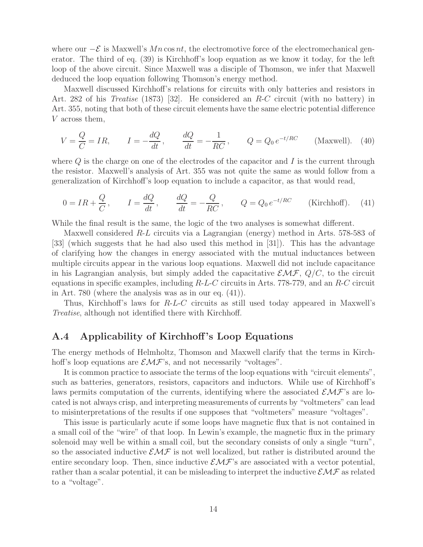where our  $-\mathcal{E}$  is Maxwell's Mn cos nt, the electromotive force of the electromechanical generator. The third of eq. (39) is Kirchhoff's loop equation as we know it today, for the left loop of the above circuit. Since Maxwell was a disciple of Thomson, we infer that Maxwell deduced the loop equation following Thomson's energy method.

Maxwell discussed Kirchhoff's relations for circuits with only batteries and resistors in Art. 282 of his *Treatise* (1873) [32]. He considered an R-C circuit (with no battery) in Art. 355, noting that both of these circuit elements have the same electric potential difference V across them,

$$
V = \frac{Q}{C} = IR, \qquad I = -\frac{dQ}{dt}, \qquad \frac{dQ}{dt} = -\frac{1}{RC}, \qquad Q = Q_0 e^{-t/RC} \qquad \text{(Maxwell)}.
$$
 (40)

where  $Q$  is the charge on one of the electrodes of the capacitor and  $I$  is the current through the resistor. Maxwell's analysis of Art. 355 was not quite the same as would follow from a generalization of Kirchhoff's loop equation to include a capacitor, as that would read,

$$
0 = IR + \frac{Q}{C}, \qquad I = \frac{dQ}{dt}, \qquad \frac{dQ}{dt} = -\frac{Q}{RC}, \qquad Q = Q_0 e^{-t/RC}
$$
 (Kirchhoff). (41)

While the final result is the same, the logic of the two analyses is somewhat different.

Maxwell considered R-L circuits via a Lagrangian (energy) method in Arts. 578-583 of [33] (which suggests that he had also used this method in [31]). This has the advantage of clarifying how the changes in energy associated with the mutual inductances between multiple circuits appear in the various loop equations. Maxwell did not include capacitance in his Lagrangian analysis, but simply added the capacitative  $\mathcal{EMF}, Q/C$ , to the circuit equations in specific examples, including  $R-L-C$  circuits in Arts. 778-779, and an  $R-C$  circuit in Art. 780 (where the analysis was as in our eq. (41)).

Thus, Kirchhoff's laws for R-L-C circuits as still used today appeared in Maxwell's *Treatise*, although not identified there with Kirchhoff.

### **A.4 Applicability of Kirchhoff 's Loop Equations**

The energy methods of Helmholtz, Thomson and Maxwell clarify that the terms in Kirchhoff's loop equations are  $\mathcal{EMF}$ 's, and not necessarily "voltages".

It is common practice to associate the terms of the loop equations with "circuit elements", such as batteries, generators, resistors, capacitors and inductors. While use of Kirchhoff's laws permits computation of the currents, identifying where the associated  $\mathcal{EMF}$ 's are located is not always crisp, and interpreting measurements of currents by "voltmeters" can lead to misinterpretations of the results if one supposes that "voltmeters" measure "voltages".

This issue is particularly acute if some loops have magnetic flux that is not contained in a small coil of the "wire" of that loop. In Lewin's example, the magnetic flux in the primary solenoid may well be within a small coil, but the secondary consists of only a single "turn", so the associated inductive  $\mathcal{EMF}$  is not well localized, but rather is distributed around the entire secondary loop. Then, since inductive  $\mathcal{EMF}$ 's are associated with a vector potential, rather than a scalar potential, it can be misleading to interpret the inductive  $\mathcal{EMF}$  as related to a "voltage".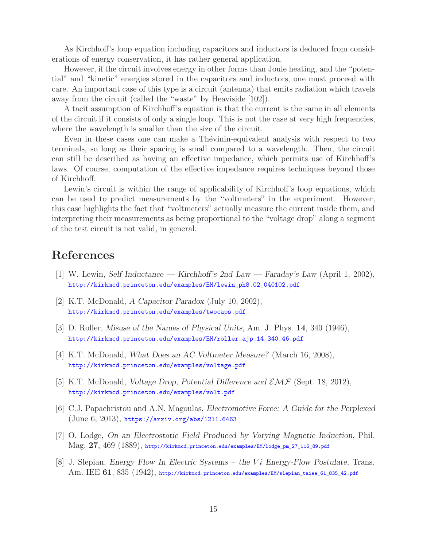As Kirchhoff's loop equation including capacitors and inductors is deduced from considerations of energy conservation, it has rather general application.

However, if the circuit involves energy in other forms than Joule heating, and the "potential" and "kinetic" energies stored in the capacitors and inductors, one must proceed with care. An important case of this type is a circuit (antenna) that emits radiation which travels away from the circuit (called the "waste" by Heaviside [102]).

A tacit assumption of Kirchhoff's equation is that the current is the same in all elements of the circuit if it consists of only a single loop. This is not the case at very high frequencies, where the wavelength is smaller than the size of the circuit.

Even in these cases one can make a Thévinin-equivalent analysis with respect to two terminals, so long as their spacing is small compared to a wavelength. Then, the circuit can still be described as having an effective impedance, which permits use of Kirchhoff's laws. Of course, computation of the effective impedance requires techniques beyond those of Kirchhoff.

Lewin's circuit is within the range of applicability of Kirchhoff's loop equations, which can be used to predict measurements by the "voltmeters" in the experiment. However, this case highlights the fact that "voltmeters" actually measure the current inside them, and interpreting their measurements as being proportional to the "voltage drop" along a segment of the test circuit is not valid, in general.

# **References**

- [1] W. Lewin, *Self Inductance Kirchhoff's 2nd Law Faraday's Law* (April 1, 2002), http://kirkmcd.princeton.edu/examples/EM/lewin\_ph8.02\_040102.pdf
- [2] K.T. McDonald, *A Capacitor Paradox* (July 10, 2002), http://kirkmcd.princeton.edu/examples/twocaps.pdf
- [3] D. Roller, *Misuse of the Names of Physical Units*, Am. J. Phys. **14**, 340 (1946), http://kirkmcd.princeton.edu/examples/EM/roller\_ajp\_14\_340\_46.pdf
- [4] K.T. McDonald, *What Does an AC Voltmeter Measure?* (March 16, 2008), http://kirkmcd.princeton.edu/examples/voltage.pdf
- [5] K.T. McDonald, *Voltage Drop, Potential Difference and* EMF (Sept. 18, 2012), http://kirkmcd.princeton.edu/examples/volt.pdf
- [6] C.J. Papachristou and A.N. Magoulas, *Electromotive Force: A Guide for the Perplexed* (June 6, 2013), https://arxiv.org/abs/1211.6463
- [7] O. Lodge, *On an Electrostatic Field Produced by Varying Magnetic Induction*, Phil. Mag. **27**, 469 (1889), http://kirkmcd.princeton.edu/examples/EM/lodge\_pm\_27\_116\_89.pdf
- [8] J. Slepian, *Energy Flow In Electric Systems the* Vi *Energy-Flow Postulate*, Trans. Am. IEE **61**, 835 (1942), http://kirkmcd.princeton.edu/examples/EM/slepian\_taiee\_61\_835\_42.pdf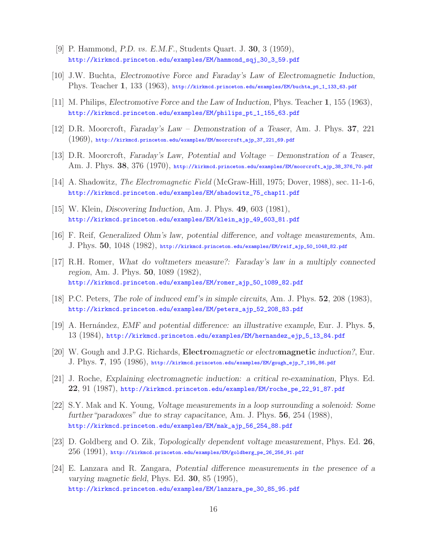- [9] P. Hammond, *P.D. vs. E.M.F.*, Students Quart. J. **30**, 3 (1959), http://kirkmcd.princeton.edu/examples/EM/hammond\_sqj\_30\_3\_59.pdf
- [10] J.W. Buchta, *Electromotive Force and Faraday's Law of Electromagnetic Induction*, Phys. Teacher **1**, 133 (1963), http://kirkmcd.princeton.edu/examples/EM/buchta\_pt\_1\_133\_63.pdf
- [11] M. Philips, *Electromotive Force and the Law of Induction*, Phys. Teacher **1**, 155 (1963), http://kirkmcd.princeton.edu/examples/EM/philips\_pt\_1\_155\_63.pdf
- [12] D.R. Moorcroft, *Faraday's Law Demonstration of a Teaser*, Am. J. Phys. **37**, 221  $(1969)$ , http://kirkmcd.princeton.edu/examples/EM/moorcroft\_ajp\_37\_221\_69.pdf
- [13] D.R. Moorcroft, *Faraday's Law, Potential and Voltage Demonstration of a Teaser*, Am. J. Phys. **38**, 376 (1970), http://kirkmcd.princeton.edu/examples/EM/moorcroft\_ajp\_38\_376\_70.pdf
- [14] A. Shadowitz, *The Electromagnetic Field* (McGraw-Hill, 1975; Dover, 1988), sec. 11-1-6, http://kirkmcd.princeton.edu/examples/EM/shadowitz\_75\_chap11.pdf
- [15] W. Klein, *Discovering Induction*, Am. J. Phys. **49**, 603 (1981), http://kirkmcd.princeton.edu/examples/EM/klein\_ajp\_49\_603\_81.pdf
- [16] F. Reif, *Generalized Ohm's law, potential difference, and voltage measurements*, Am. J. Phys. **50**, 1048 (1982), http://kirkmcd.princeton.edu/examples/EM/reif\_ajp\_50\_1048\_82.pdf
- [17] R.H. Romer, *What do voltmeters measure?: Faraday's law in a multiply connected region*, Am. J. Phys. **50**, 1089 (1982), http://kirkmcd.princeton.edu/examples/EM/romer\_ajp\_50\_1089\_82.pdf
- [18] P.C. Peters, *The role of induced emf's in simple circuits*, Am. J. Phys. **52**, 208 (1983), http://kirkmcd.princeton.edu/examples/EM/peters\_ajp\_52\_208\_83.pdf
- [19] A. Hern´andez, *EMF and potential difference: an illustrative example*, Eur. J. Phys. **5**, 13 (1984), http://kirkmcd.princeton.edu/examples/EM/hernandez\_ejp\_5\_13\_84.pdf
- [20] W. Gough and J.P.G. Richards, **Electro***magnetic or electro***magnetic** *induction?*, Eur. J. Phys. **7**, 195 (1986), http://kirkmcd.princeton.edu/examples/EM/gough\_ejp\_7\_195\_86.pdf
- [21] J. Roche, *Explaining electromagnetic induction: a critical re-examination*, Phys. Ed. **22**, 91 (1987), http://kirkmcd.princeton.edu/examples/EM/roche\_pe\_22\_91\_87.pdf
- [22] S.Y. Mak and K. Young, *Voltage measurements in a loop surrounding a solenoid: Some further"paradoxes" due to stray capacitance*, Am. J. Phys. **56**, 254 (1988), http://kirkmcd.princeton.edu/examples/EM/mak\_ajp\_56\_254\_88.pdf
- [23] D. Goldberg and O. Zik, *Topologically dependent voltage measurement*, Phys. Ed. **26**,  $256$   $(1991)$ , http://kirkmcd.princeton.edu/examples/EM/goldberg\_pe\_26\_256\_91.pdf
- [24] E. Lanzara and R. Zangara, *Potential difference measurements in the presence of a varying magnetic field*, Phys. Ed. **30**, 85 (1995), http://kirkmcd.princeton.edu/examples/EM/lanzara\_pe\_30\_85\_95.pdf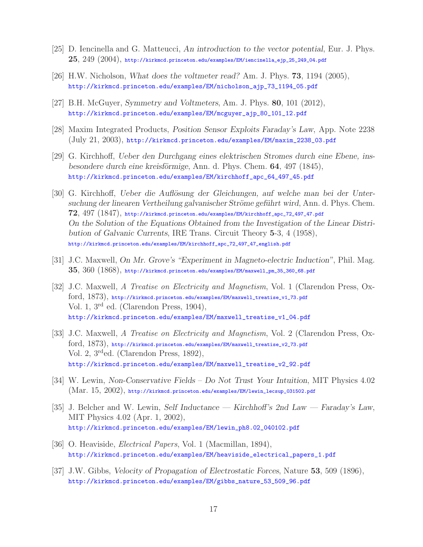- [25] D. Iencinella and G. Matteucci, *An introduction to the vector potential*, Eur. J. Phys. **25**, 249 (2004), http://kirkmcd.princeton.edu/examples/EM/iencinella\_ejp\_25\_249\_04.pdf
- [26] H.W. Nicholson, *What does the voltmeter read?* Am. J. Phys. **73**, 1194 (2005), http://kirkmcd.princeton.edu/examples/EM/nicholson\_ajp\_73\_1194\_05.pdf
- [27] B.H. McGuyer, *Symmetry and Voltmeters*, Am. J. Phys. **80**, 101 (2012), http://kirkmcd.princeton.edu/examples/EM/mcguyer\_ajp\_80\_101\_12.pdf
- [28] Maxim Integrated Products, *Position Sensor Exploits Faraday's Law*, App. Note 2238 (July 21, 2003), http://kirkmcd.princeton.edu/examples/EM/maxim\_2238\_03.pdf
- [29] G. Kirchhoff, *Ueber den Durchgang eines elektrischen Stromes durch eine Ebene, insbesondere durch eine kreisförmige*, Ann. d. Phys. Chem. **64**, 497 (1845), http://kirkmcd.princeton.edu/examples/EM/kirchhoff\_apc\_64\_497\_45.pdf
- [30] G. Kirchhoff, *Ueber die Auflösung der Gleichungen*, auf welche man bei der Unter*suchung der linearen Vertheilung galvanischer Str¨ome gef¨uhrt wird*, Ann. d. Phys. Chem. **72**, 497 (1847), http://kirkmcd.princeton.edu/examples/EM/kirchhoff\_apc\_72\_497\_47.pdf *On the Solution of the Equations Obtained from the Investigation of the Linear Distribution of Galvanic Currents*, IRE Trans. Circuit Theory **5**-3, 4 (1958), http://kirkmcd.princeton.edu/examples/EM/kirchhoff\_apc\_72\_497\_47\_english.pdf
- [31] J.C. Maxwell, *On Mr. Grove's "Experiment in Magneto-electric Induction"*, Phil. Mag. **35**, 360 (1868), http://kirkmcd.princeton.edu/examples/EM/maxwell\_pm\_35\_360\_68.pdf
- [32] J.C. Maxwell, *A Treatise on Electricity and Magnetism*, Vol. 1 (Clarendon Press, Oxford, 1873), http://kirkmcd.princeton.edu/examples/EM/maxwell\_treatise\_v1\_73.pdf Vol. 1, 3rd ed. (Clarendon Press, 1904), http://kirkmcd.princeton.edu/examples/EM/maxwell\_treatise\_v1\_04.pdf
- [33] J.C. Maxwell, *A Treatise on Electricity and Magnetism*, Vol. 2 (Clarendon Press, Oxford, 1873), http://kirkmcd.princeton.edu/examples/EM/maxwell\_treatise\_v2\_73.pdf Vol. 2, 3rded. (Clarendon Press, 1892), http://kirkmcd.princeton.edu/examples/EM/maxwell\_treatise\_v2\_92.pdf
- [34] W. Lewin, *Non-Conservative Fields Do Not Trust Your Intuition*, MIT Physics 4.02 (Mar. 15, 2002), http://kirkmcd.princeton.edu/examples/EM/lewin\_lecsup\_031502.pdf
- [35] J. Belcher and W. Lewin, *Self Inductance Kirchhoff's 2nd Law Faraday's Law*, MIT Physics 4.02 (Apr. 1, 2002), http://kirkmcd.princeton.edu/examples/EM/lewin\_ph8.02\_040102.pdf
- [36] O. Heaviside, *Electrical Papers*, Vol. 1 (Macmillan, 1894), http://kirkmcd.princeton.edu/examples/EM/heaviside\_electrical\_papers\_1.pdf
- [37] J.W. Gibbs, *Velocity of Propagation of Electrostatic Forces*, Nature **53**, 509 (1896), http://kirkmcd.princeton.edu/examples/EM/gibbs\_nature\_53\_509\_96.pdf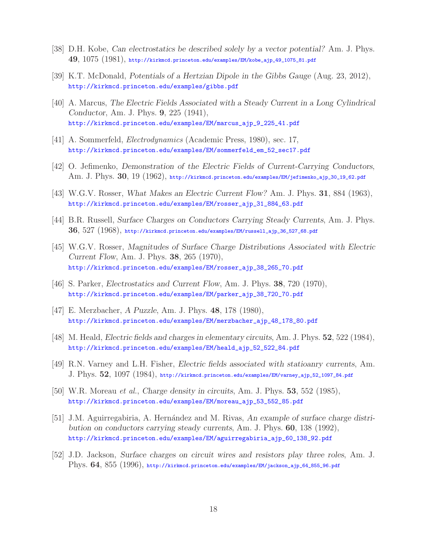- [38] D.H. Kobe, *Can electrostatics be described solely by a vector potential?* Am. J. Phys. **49**, 1075 (1981), http://kirkmcd.princeton.edu/examples/EM/kobe\_ajp\_49\_1075\_81.pdf
- [39] K.T. McDonald, *Potentials of a Hertzian Dipole in the Gibbs Gauge* (Aug. 23, 2012), http://kirkmcd.princeton.edu/examples/gibbs.pdf
- [40] A. Marcus, *The Electric Fields Associated with a Steady Current in a Long Cylindrical Conductor*, Am. J. Phys. **9**, 225 (1941), http://kirkmcd.princeton.edu/examples/EM/marcus\_ajp\_9\_225\_41.pdf
- [41] A. Sommerfeld, *Electrodynamics* (Academic Press, 1980), sec. 17, http://kirkmcd.princeton.edu/examples/EM/sommerfeld\_em\_52\_sec17.pdf
- [42] O. Jefimenko, *Demonstration of the Electric Fields of Current-Carrying Conductors*, Am. J. Phys. **30**, 19 (1962), http://kirkmcd.princeton.edu/examples/EM/jefimenko\_ajp\_30\_19\_62.pdf
- [43] W.G.V. Rosser, *What Makes an Electric Current Flow?* Am. J. Phys. **31**, 884 (1963), http://kirkmcd.princeton.edu/examples/EM/rosser\_ajp\_31\_884\_63.pdf
- [44] B.R. Russell, *Surface Charges on Conductors Carrying Steady Currents*, Am. J. Phys. **36**, 527 (1968), http://kirkmcd.princeton.edu/examples/EM/russell\_ajp\_36\_527\_68.pdf
- [45] W.G.V. Rosser, *Magnitudes of Surface Charge Distributions Associated with Electric Current Flow*, Am. J. Phys. **38**, 265 (1970), http://kirkmcd.princeton.edu/examples/EM/rosser\_ajp\_38\_265\_70.pdf
- [46] S. Parker, *Electrostatics and Current Flow*, Am. J. Phys. **38**, 720 (1970), http://kirkmcd.princeton.edu/examples/EM/parker\_ajp\_38\_720\_70.pdf
- [47] E. Merzbacher, *A Puzzle*, Am. J. Phys. **48**, 178 (1980), http://kirkmcd.princeton.edu/examples/EM/merzbacher\_ajp\_48\_178\_80.pdf
- [48] M. Heald, *Electric fields and charges in elementary circuits*, Am. J. Phys. **52**, 522 (1984), http://kirkmcd.princeton.edu/examples/EM/heald\_ajp\_52\_522\_84.pdf
- [49] R.N. Varney and L.H. Fisher, *Electric fields associated with statioanry currents*, Am. J. Phys. **52**, 1097 (1984), http://kirkmcd.princeton.edu/examples/EM/varney\_ajp\_52\_1097\_84.pdf
- [50] W.R. Moreau *et al.*, *Charge density in circuits*, Am. J. Phys. **53**, 552 (1985), http://kirkmcd.princeton.edu/examples/EM/moreau\_ajp\_53\_552\_85.pdf
- [51] J.M. Aguirregabiria, A. Hernández and M. Rivas, An example of surface charge distri*bution on conductors carrying steady currents*, Am. J. Phys. **60**, 138 (1992), http://kirkmcd.princeton.edu/examples/EM/aguirregabiria\_ajp\_60\_138\_92.pdf
- [52] J.D. Jackson, *Surface charges on circuit wires and resistors play three roles*, Am. J. Phys. **64**, 855 (1996), http://kirkmcd.princeton.edu/examples/EM/jackson\_ajp\_64\_855\_96.pdf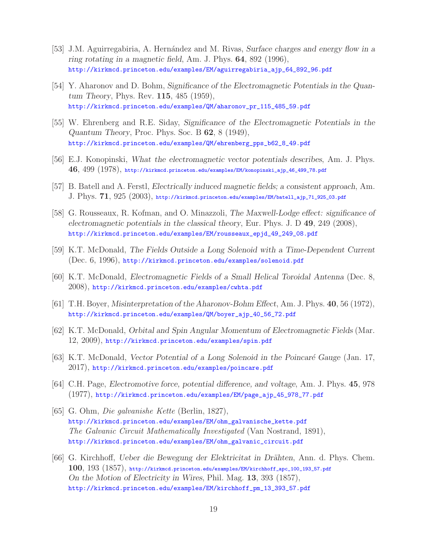- [53] J.M. Aguirregabiria, A. Hernández and M. Rivas, *Surface charges and energy flow in a ring rotating in a magnetic field*, Am. J. Phys. **64**, 892 (1996), http://kirkmcd.princeton.edu/examples/EM/aguirregabiria\_ajp\_64\_892\_96.pdf
- [54] Y. Aharonov and D. Bohm, *Significance of the Electromagnetic Potentials in the Quantum Theory*, Phys. Rev. **115**, 485 (1959), http://kirkmcd.princeton.edu/examples/QM/aharonov\_pr\_115\_485\_59.pdf
- [55] W. Ehrenberg and R.E. Siday, *Significance of the Electromagnetic Potentials in the Quantum Theory*, Proc. Phys. Soc. B **62**, 8 (1949), http://kirkmcd.princeton.edu/examples/QM/ehrenberg\_pps\_b62\_8\_49.pdf
- [56] E.J. Konopinski, *What the electromagnetic vector potentials describes*, Am. J. Phys. **46**, 499 (1978), http://kirkmcd.princeton.edu/examples/EM/konopinski\_ajp\_46\_499\_78.pdf
- [57] B. Batell and A. Ferstl, *Electrically induced magnetic fields; a consistent approach*, Am. J. Phys. **71**, 925 (2003), http://kirkmcd.princeton.edu/examples/EM/batell\_ajp\_71\_925\_03.pdf
- [58] G. Rousseaux, R. Kofman, and O. Minazzoli, *The Maxwell-Lodge effect: significance of electromagnetic potentials in the classical theory*, Eur. Phys. J. D **49**, 249 (2008), http://kirkmcd.princeton.edu/examples/EM/rousseaux\_epjd\_49\_249\_08.pdf
- [59] K.T. McDonald, *The Fields Outside a Long Solenoid with a Time-Dependent Current* (Dec. 6, 1996), http://kirkmcd.princeton.edu/examples/solenoid.pdf
- [60] K.T. McDonald, *Electromagnetic Fields of a Small Helical Toroidal Antenna* (Dec. 8, 2008), http://kirkmcd.princeton.edu/examples/cwhta.pdf
- [61] T.H. Boyer, *Misinterpretation of the Aharonov-Bohm Effect*, Am. J. Phys. **40**, 56 (1972), http://kirkmcd.princeton.edu/examples/QM/boyer\_ajp\_40\_56\_72.pdf
- [62] K.T. McDonald, *Orbital and Spin Angular Momentum of Electromagnetic Fields* (Mar. 12, 2009), http://kirkmcd.princeton.edu/examples/spin.pdf
- [63] K.T. McDonald, *Vector Potential of a Long Solenoid in the Poincaré Gauge* (Jan. 17, 2017), http://kirkmcd.princeton.edu/examples/poincare.pdf
- [64] C.H. Page, *Electromotive force, potential difference, and voltage*, Am. J. Phys. **45**, 978 (1977), http://kirkmcd.princeton.edu/examples/EM/page\_ajp\_45\_978\_77.pdf
- [65] G. Ohm, *Die galvanishe Kette* (Berlin, 1827), http://kirkmcd.princeton.edu/examples/EM/ohm\_galvanische\_kette.pdf *The Galvanic Circuit Mathematically Investigated* (Van Nostrand, 1891), http://kirkmcd.princeton.edu/examples/EM/ohm\_galvanic\_circuit.pdf
- [66] G. Kirchhoff, *Ueber die Bewegung der Elektricitat in Drähten*, Ann. d. Phys. Chem. **100**, 193 (1857), http://kirkmcd.princeton.edu/examples/EM/kirchhoff\_apc\_100\_193\_57.pdf *On the Motion of Electricity in Wires*, Phil. Mag. **13**, 393 (1857), http://kirkmcd.princeton.edu/examples/EM/kirchhoff\_pm\_13\_393\_57.pdf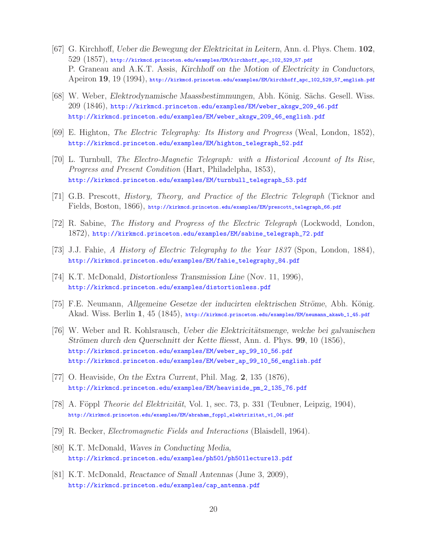- [67] G. Kirchhoff, *Ueber die Bewegung der Elektricitat in Leitern*, Ann. d. Phys. Chem. **102**, 529 (1857), http://kirkmcd.princeton.edu/examples/EM/kirchhoff\_apc\_102\_529\_57.pdf P. Graneau and A.K.T. Assis, *Kirchhoff on the Motion of Electricity in Conductors*, Apeiron **19**, 19 (1994), http://kirkmcd.princeton.edu/examples/EM/kirchhoff\_apc\_102\_529\_57\_english.pdf
- [68] W. Weber, *Elektrodynamische Maassbestimmungen*, Abh. K¨onig. S¨achs. Gesell. Wiss. 209 (1846), http://kirkmcd.princeton.edu/examples/EM/weber\_aksgw\_209\_46.pdf http://kirkmcd.princeton.edu/examples/EM/weber\_aksgw\_209\_46\_english.pdf
- [69] E. Highton, *The Electric Telegraphy: Its History and Progress* (Weal, London, 1852), http://kirkmcd.princeton.edu/examples/EM/highton\_telegraph\_52.pdf
- [70] L. Turnbull, *The Electro-Magnetic Telegraph: with a Historical Account of Its Rise, Progress and Present Condition* (Hart, Philadelpha, 1853), http://kirkmcd.princeton.edu/examples/EM/turnbull\_telegraph\_53.pdf
- [71] G.B. Prescott, *History, Theory, and Practice of the Electric Telegraph* (Ticknor and Fields, Boston, 1866), http://kirkmcd.princeton.edu/examples/EM/prescott\_telegraph\_66.pdf
- [72] R. Sabine, *The History and Progress of the Electric Telegraph* (Lockwodd, London, 1872), http://kirkmcd.princeton.edu/examples/EM/sabine\_telegraph\_72.pdf
- [73] J.J. Fahie, *A History of Electric Telegraphy to the Year 1837* (Spon, London, 1884), http://kirkmcd.princeton.edu/examples/EM/fahie\_telegraphy\_84.pdf
- [74] K.T. McDonald, *Distortionless Transmission Line* (Nov. 11, 1996), http://kirkmcd.princeton.edu/examples/distortionless.pdf
- [75] F.E. Neumann, *Allgemeine Gesetze der inducirten elektrischen Ströme*, Abh. König. Akad. Wiss. Berlin **1**, 45 (1845), http://kirkmcd.princeton.edu/examples/EM/neumann\_akawb\_1\_45.pdf
- [76] W. Weber and R. Kohlsrausch, *Ueber die Elektricitätsmenge, welche bei galvanischen Strömen durch den Querschnitt der Kette fliesst*, Ann. d. Phys. **99**, 10 (1856), http://kirkmcd.princeton.edu/examples/EM/weber\_ap\_99\_10\_56.pdf http://kirkmcd.princeton.edu/examples/EM/weber\_ap\_99\_10\_56\_english.pdf
- [77] O. Heaviside, *On the Extra Current*, Phil. Mag. **2**, 135 (1876), http://kirkmcd.princeton.edu/examples/EM/heaviside\_pm\_2\_135\_76.pdf
- [78] A. Föppl *Theorie del Elektrizität*, Vol. 1, sec. 73, p. 331 (Teubner, Leipzig, 1904), http://kirkmcd.princeton.edu/examples/EM/abraham\_foppl\_elektrizitat\_v1\_04.pdf
- [79] R. Becker, *Electromagnetic Fields and Interactions* (Blaisdell, 1964).
- [80] K.T. McDonald, *Waves in Conducting Media*, http://kirkmcd.princeton.edu/examples/ph501/ph501lecture13.pdf
- [81] K.T. McDonald, *Reactance of Small Antennas* (June 3, 2009), http://kirkmcd.princeton.edu/examples/cap\_antenna.pdf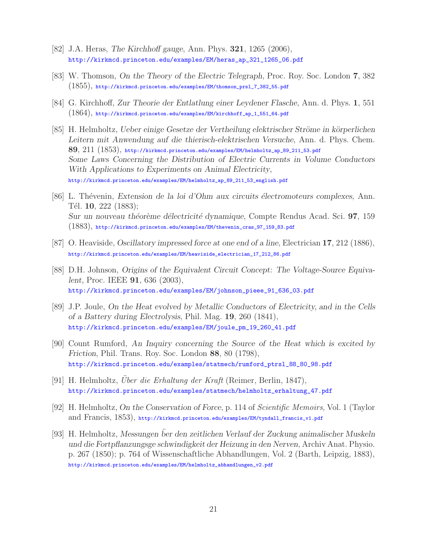- [82] J.A. Heras, *The Kirchhoff gauge*, Ann. Phys. **321**, 1265 (2006), http://kirkmcd.princeton.edu/examples/EM/heras\_ap\_321\_1265\_06.pdf
- [83] W. Thomson, *On the Theory of the Electric Telegraph*, Proc. Roy. Soc. London **7**, 382  $(1855)$ , http://kirkmcd.princeton.edu/examples/EM/thomson\_prsl\_7\_382\_55.pdf
- [84] G. Kirchhoff, *Zur Theorie der Entlatlung einer Leydener Flasche*, Ann. d. Phys. **1**, 551  $(1864)$ , http://kirkmcd.princeton.edu/examples/EM/kirchhoff\_ap\_1\_551\_64.pdf
- [85] H. Helmholtz, *Ueber einige Gesetze der Vertheilung elektrischer Ströme in körperlichen Leitern mit Anwendung auf die thierisch-elektrischen Versuche*, Ann. d. Phys. Chem. **89**, 211 (1853), http://kirkmcd.princeton.edu/examples/EM/helmholtz\_ap\_89\_211\_53.pdf *Some Laws Concerning the Distribution of Electric Currents in Volume Conductors With Applications to Experiments on Animal Electricity*, http://kirkmcd.princeton.edu/examples/EM/helmholtz\_ap\_89\_211\_53\_english.pdf
- [86] L. Th´evenin, *Extension de la loi d'Ohm aux circuits ´electromoteurs complexes*, Ann. T´el. **10**, 222 (1883); *Sur un nouveau th´eor`eme d´electricit´e dynamique*, Compte Rendus Acad. Sci. **97**, 159 (1883), http://kirkmcd.princeton.edu/examples/EM/thevenin\_cras\_97\_159\_83.pdf
- [87] O. Heaviside, *Oscillatory impressed force at one end of a line*, Electrician **17**, 212 (1886), http://kirkmcd.princeton.edu/examples/EM/heaviside\_electrician\_17\_212\_86.pdf
- [88] D.H. Johnson, *Origins of the Equivalent Circuit Concept: The Voltage-Source Equivalent*, Proc. IEEE **91**, 636 (2003), http://kirkmcd.princeton.edu/examples/EM/johnson\_pieee\_91\_636\_03.pdf
- [89] J.P. Joule, *On the Heat evolved by Metallic Conductors of Electricity, and in the Cells of a Battery during Electrolysis*, Phil. Mag. **19**, 260 (1841), http://kirkmcd.princeton.edu/examples/EM/joule\_pm\_19\_260\_41.pdf
- [90] Count Rumford, *An Inquiry concerning the Source of the Heat which is excited by Friction*, Phil. Trans. Roy. Soc. London **88**, 80 (1798), http://kirkmcd.princeton.edu/examples/statmech/rumford\_ptrsl\_88\_80\_98.pdf
- [91] H. Helmholtz, *Uber die Erhaltung der Kraft* (Reimer, Berlin, 1847), http://kirkmcd.princeton.edu/examples/statmech/helmholtz\_erhaltung\_47.pdf
- [92] H. Helmholtz, *On the Conservation of Force*, p. 114 of *Scientific Memoirs*, Vol. 1 (Taylor and Francis, 1853), http://kirkmcd.princeton.edu/examples/EM/tyndall\_francis\_v1.pdf
- [93] H. Helmholtz, *Messungen ber den zeitlichen Verlauf der Zuckung animalischer Muskeln ¨ und die Fortpflanzungsge schwindigkeit der Heizung in den Nerven*, Archiv Anat. Physio. p. 267 (1850); p. 764 of Wissenschaftliche Abhandlungen, Vol. 2 (Barth, Leipzig, 1883), http://kirkmcd.princeton.edu/examples/EM/helmholtz\_abhandlungen\_v2.pdf